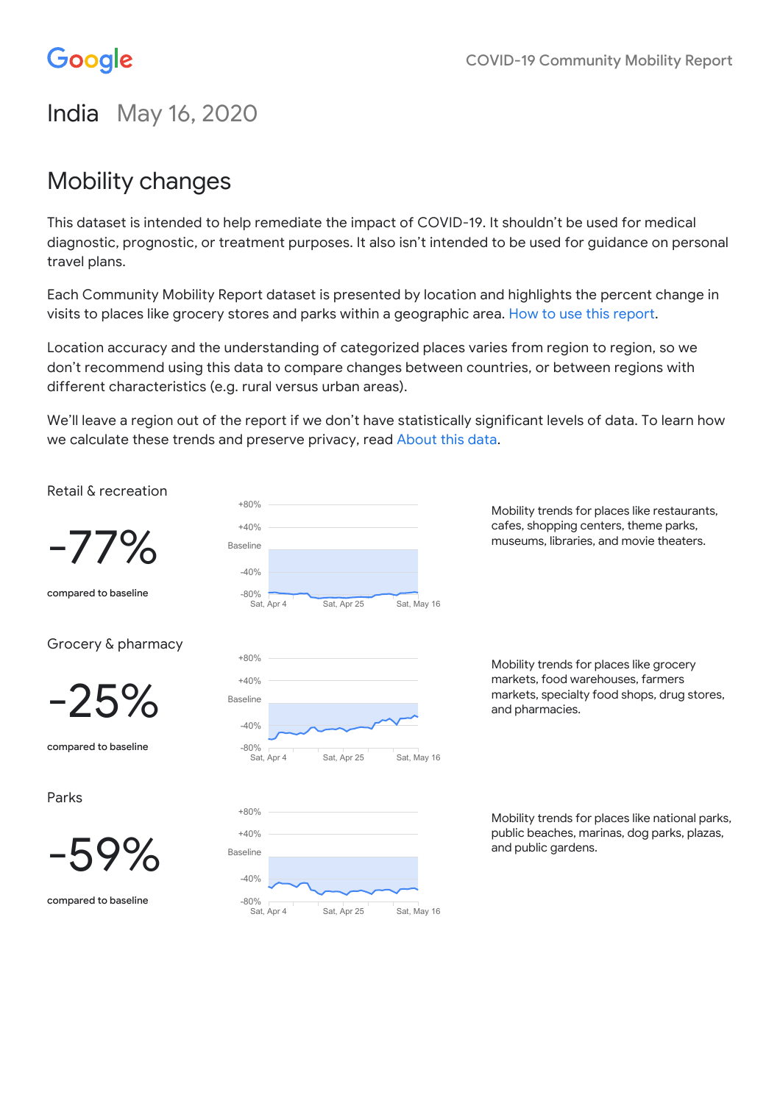# Google

# India May 16, 2020

# Mobility changes

This dataset is intended to help remediate the impact of COVID-19. It shouldn't be used for medical diagnostic, prognostic, or treatment purposes. It also isn't intended to be used for guidance on personal travel plans.

Each Community Mobility Report dataset is presented by location and highlights the percent change in visits to places like grocery stores and parks within a geographic area. How to use this [report.](https://support.google.com/covid19-mobility)

Location accuracy and the understanding of categorized places varies from region to region, so we don't recommend using this data to compare changes between countries, or between regions with different characteristics (e.g. rural versus urban areas).

We'll leave a region out of the report if we don't have statistically significant levels of data. To learn how we calculate these trends and preserve privacy, read [About](#page-20-0) this data.

Retail & recreation

-77%

compared to baseline

Grocery & pharmacy



compared to baseline

Parks



compared to baseline



Mobility trends for places like restaurants, cafes, shopping centers, theme parks, museums, libraries, and movie theaters.

Mobility trends for places like grocery markets, food warehouses, farmers markets, specialty food shops, drug stores, and pharmacies.

Mobility trends for places like national parks, public beaches, marinas, dog parks, plazas, and public gardens.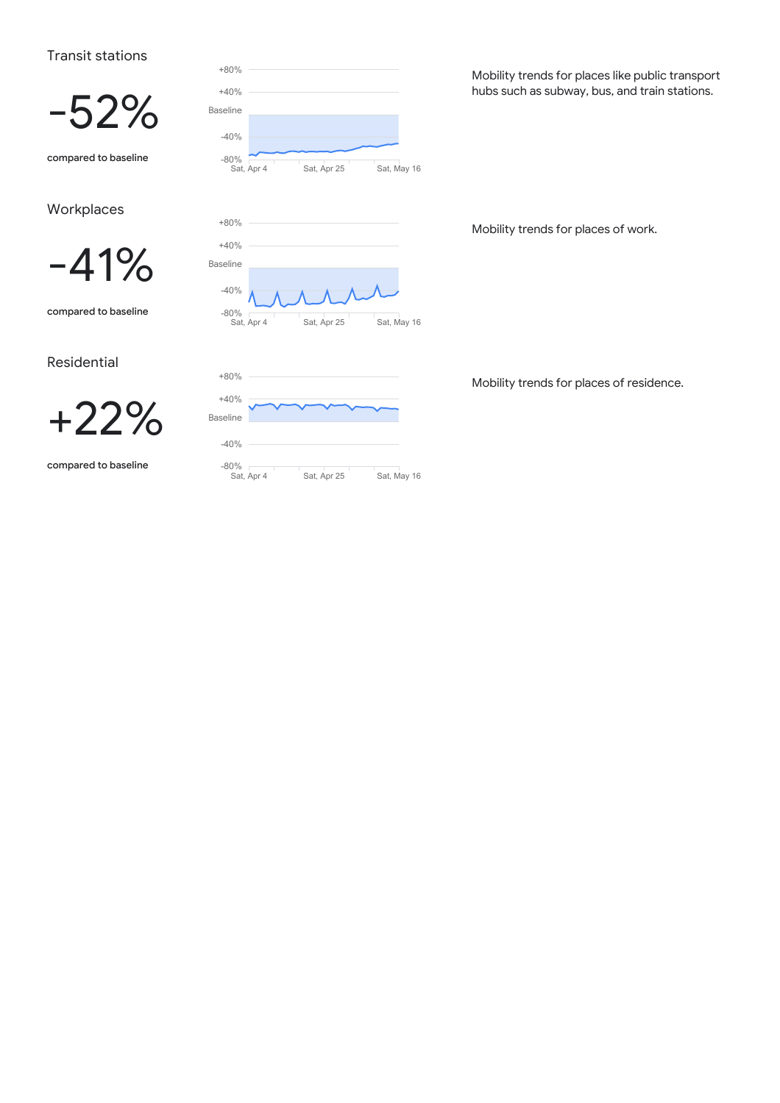### Transit stations



compared to baseline

### **Workplaces**



compared to baseline

Residential



compared to baseline



Mobility trends for places like public transport hubs such as subway, bus, and train stations.

Mobility trends for places of work.

Mobility trends for places of residence.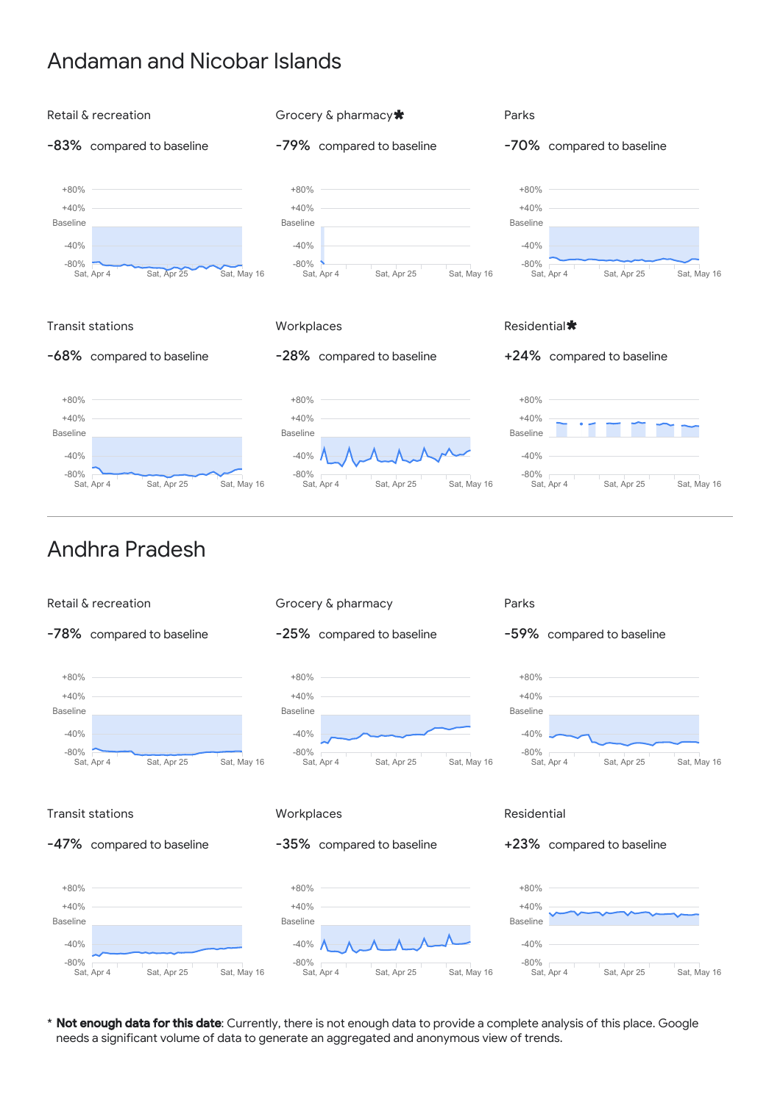### Andaman and Nicobar Islands





### Andhra Pradesh



\* Not enough data for this date: Currently, there is not enough data to provide a complete analysis of this place. Google needs a significant volume of data to generate an aggregated and anonymous view of trends.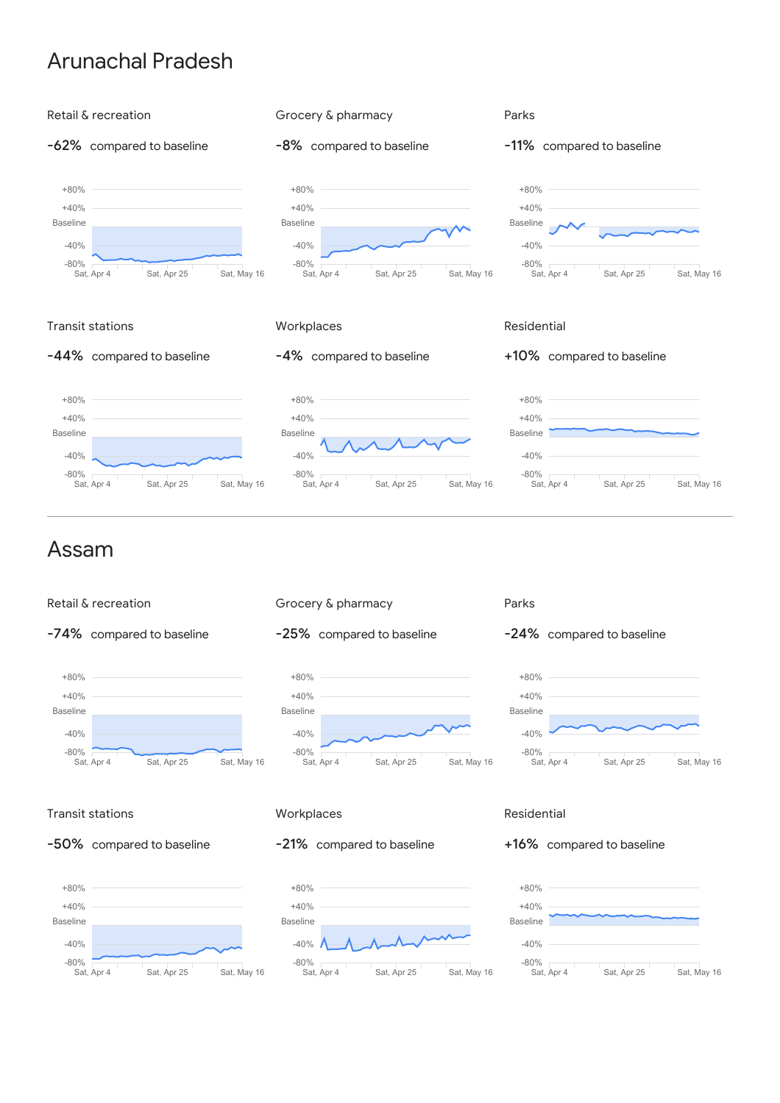### Arunachal Pradesh









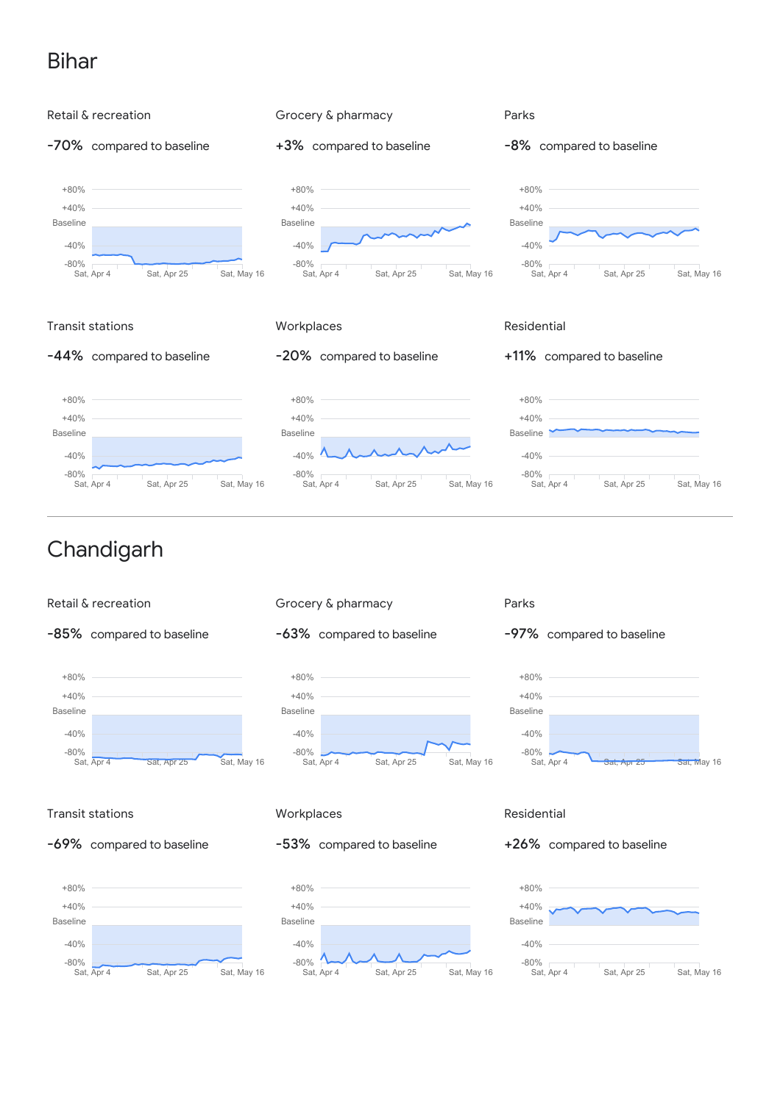# Bihar





-85% compared to baseline







#### Parks





### Transit stations





### **Workplaces**

### -53% compared to baseline



### Residential

+26% compared to baseline

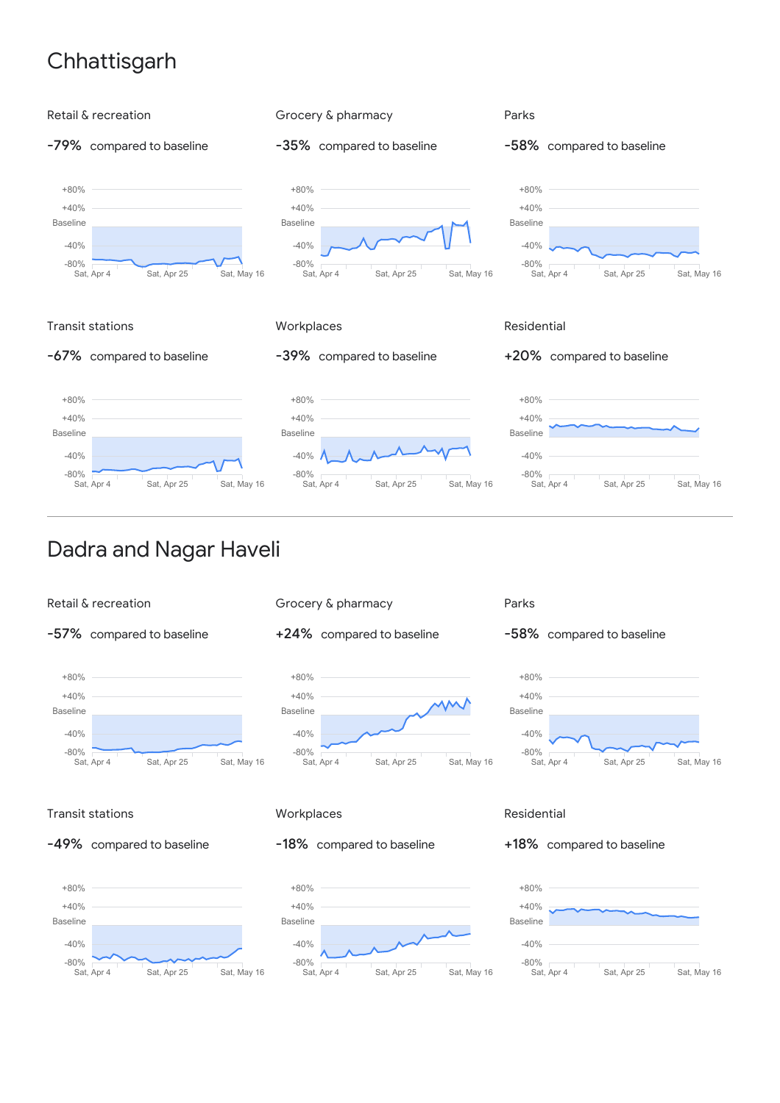# **Chhattisgarh**



### Dadra and Nagar Haveli

![](_page_5_Figure_3.jpeg)

-57% compared to baseline

![](_page_5_Figure_5.jpeg)

![](_page_5_Figure_6.jpeg)

+24% compared to baseline

![](_page_5_Figure_8.jpeg)

#### Parks

![](_page_5_Figure_10.jpeg)

![](_page_5_Figure_11.jpeg)

### Transit stations

![](_page_5_Figure_13.jpeg)

![](_page_5_Figure_14.jpeg)

### **Workplaces**

### -18% compared to baseline

![](_page_5_Figure_17.jpeg)

### Residential

+18% compared to baseline

![](_page_5_Figure_20.jpeg)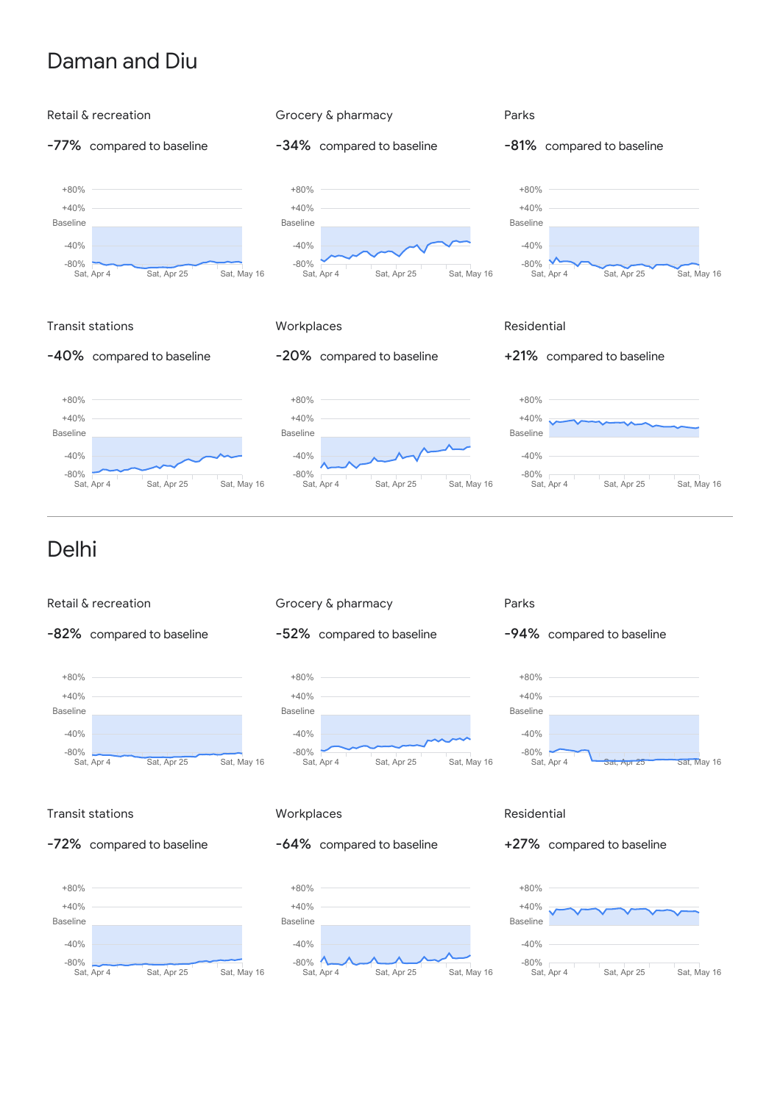### Daman and Diu

![](_page_6_Figure_1.jpeg)

![](_page_6_Figure_2.jpeg)

Sat, Apr 4 Sat, Apr 25 Sat, May 16

-52% compared to baseline

![](_page_6_Figure_4.jpeg)

![](_page_6_Figure_5.jpeg)

![](_page_6_Figure_6.jpeg)

### Transit stations

![](_page_6_Figure_8.jpeg)

![](_page_6_Figure_9.jpeg)

### **Workplaces**

### -64% compared to baseline

![](_page_6_Figure_12.jpeg)

### Residential

#### +27% compared to baseline

![](_page_6_Figure_15.jpeg)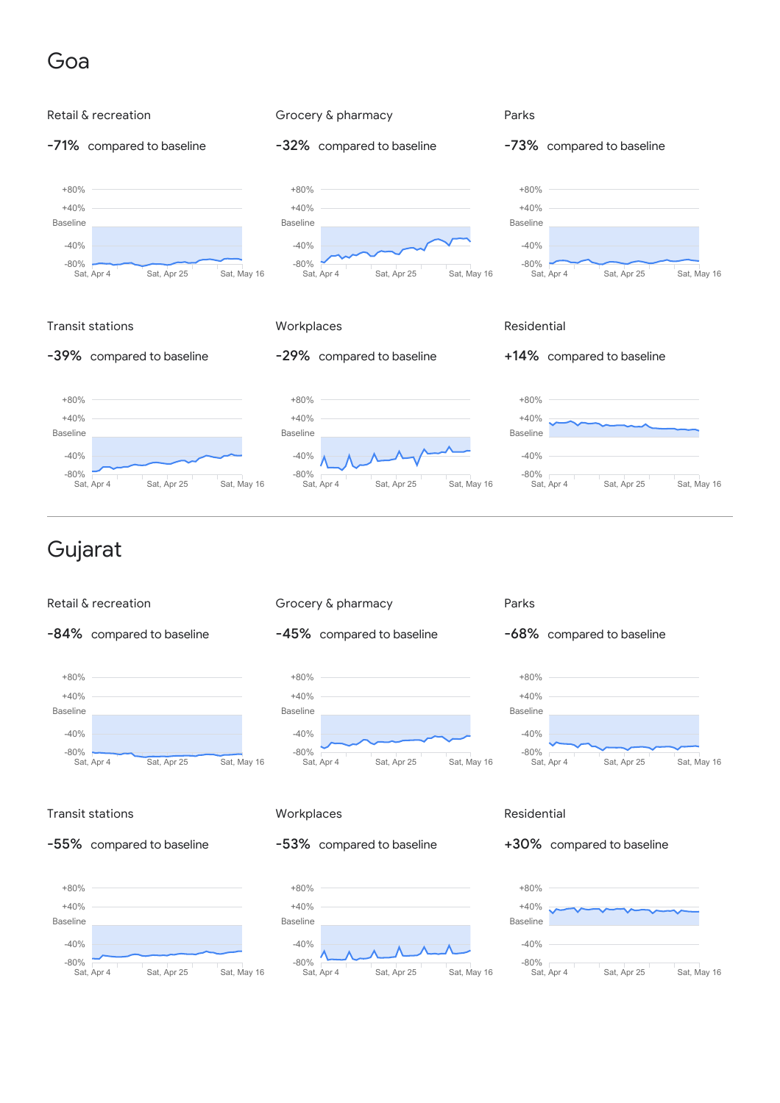### Goa

![](_page_7_Figure_1.jpeg)

![](_page_7_Figure_2.jpeg)

# Gujarat

![](_page_7_Figure_4.jpeg)

![](_page_7_Figure_5.jpeg)

![](_page_7_Figure_6.jpeg)

![](_page_7_Figure_7.jpeg)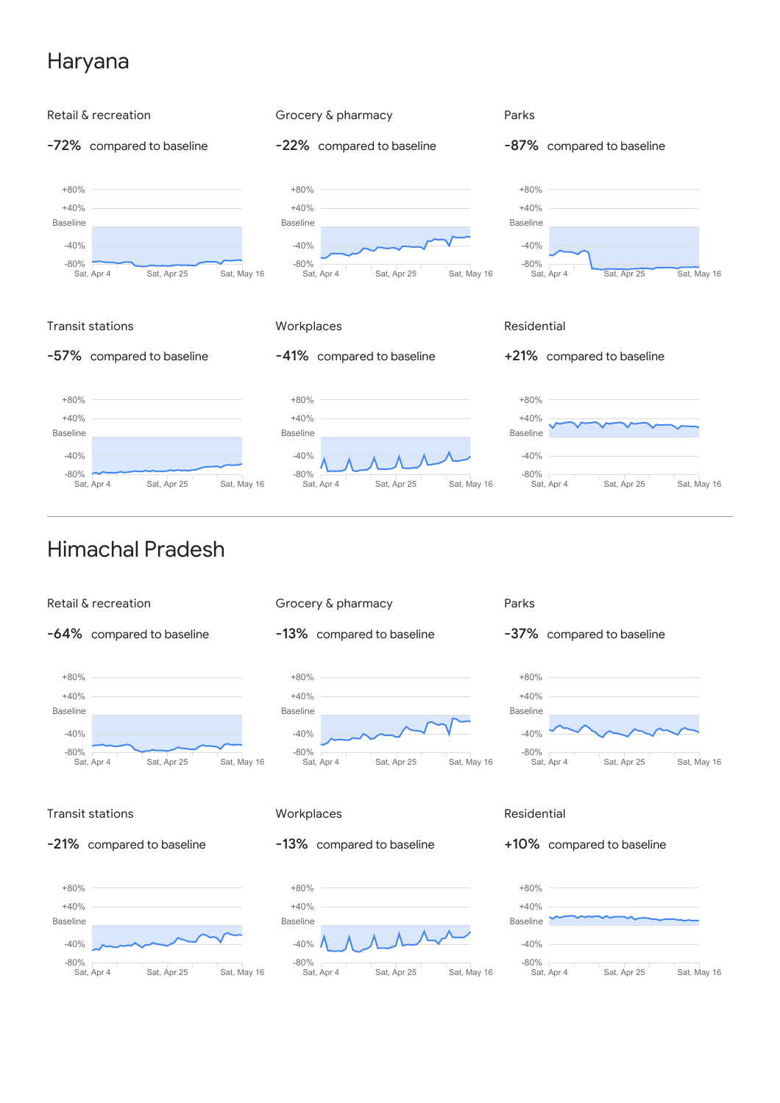# Haryana

![](_page_8_Figure_1.jpeg)

![](_page_8_Figure_2.jpeg)

![](_page_8_Figure_3.jpeg)

![](_page_8_Figure_4.jpeg)

### Transit stations

![](_page_8_Figure_6.jpeg)

![](_page_8_Figure_7.jpeg)

### **Workplaces**

### -13% compared to baseline

![](_page_8_Figure_10.jpeg)

### Residential

### +10% compared to baseline

![](_page_8_Figure_13.jpeg)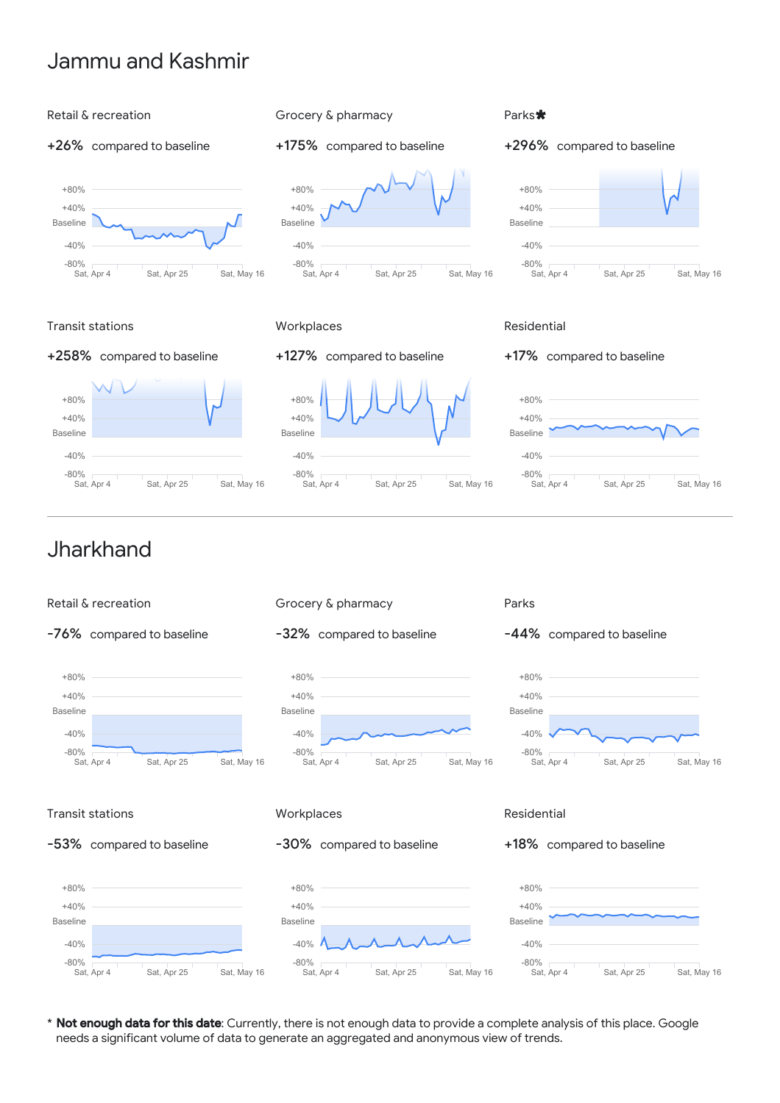### Jammu and Kashmir

### Retail & recreation

### +26% compared to baseline

![](_page_9_Figure_3.jpeg)

# +175% compared to baseline +80%

Grocery & pharmacy

![](_page_9_Figure_5.jpeg)

# Parks \*

### +296% compared to baseline

![](_page_9_Figure_9.jpeg)

### Transit stations

### +258% compared to baseline

![](_page_9_Figure_12.jpeg)

### **Workplaces**

![](_page_9_Figure_14.jpeg)

![](_page_9_Figure_16.jpeg)

### Residential

+17% compared to baseline

![](_page_9_Figure_19.jpeg)

### Jharkhand

![](_page_9_Figure_21.jpeg)

\* Not enough data for this date: Currently, there is not enough data to provide a complete analysis of this place. Google needs a significant volume of data to generate an aggregated and anonymous view of trends.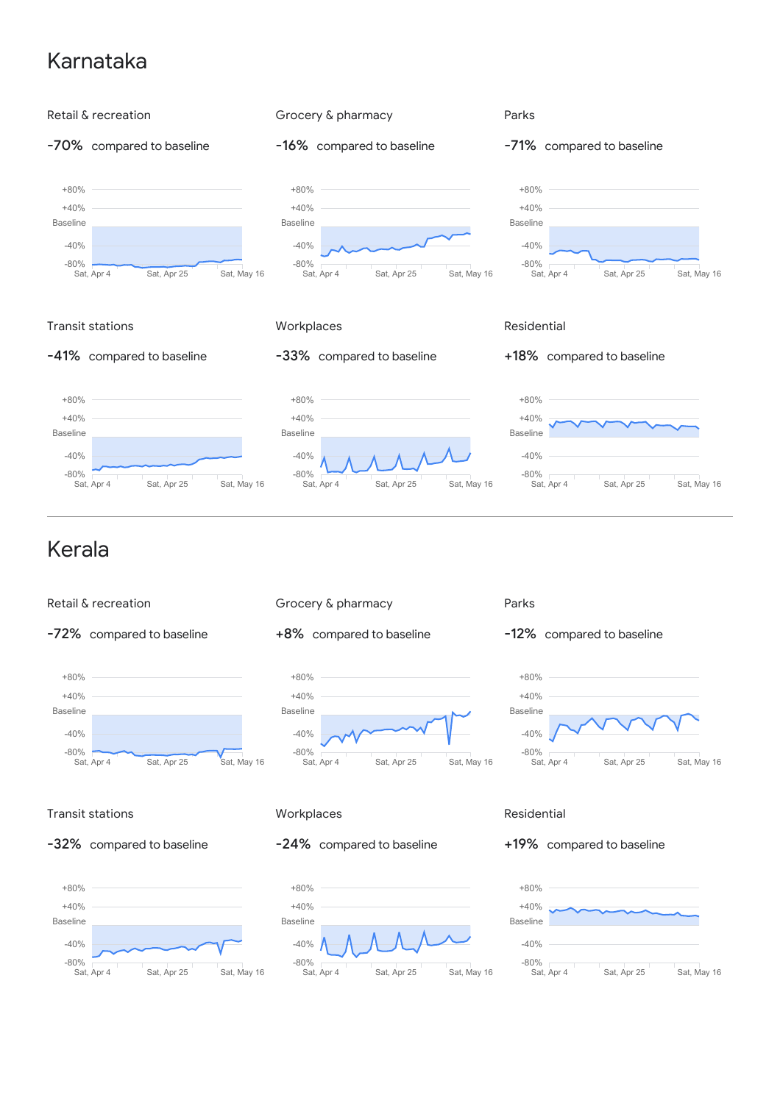# Karnataka

![](_page_10_Figure_1.jpeg)

![](_page_10_Figure_2.jpeg)

![](_page_10_Figure_3.jpeg)

![](_page_10_Figure_4.jpeg)

![](_page_10_Figure_5.jpeg)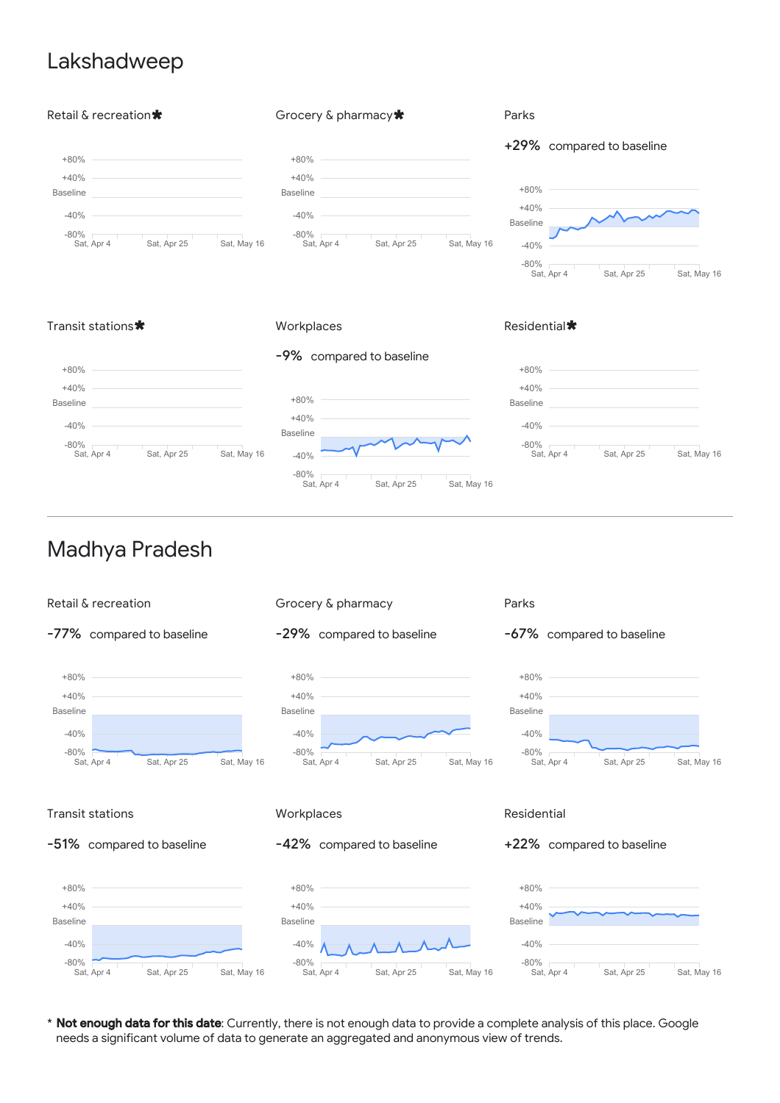### Lakshadweep

![](_page_11_Figure_1.jpeg)

## Transit stations **\*** Workplaces

### Residential $\bigstar$

![](_page_11_Figure_5.jpeg)

### Madhya Pradesh

![](_page_11_Figure_7.jpeg)

\* Not enough data for this date: Currently, there is not enough data to provide a complete analysis of this place. Google needs a significant volume of data to generate an aggregated and anonymous view of trends.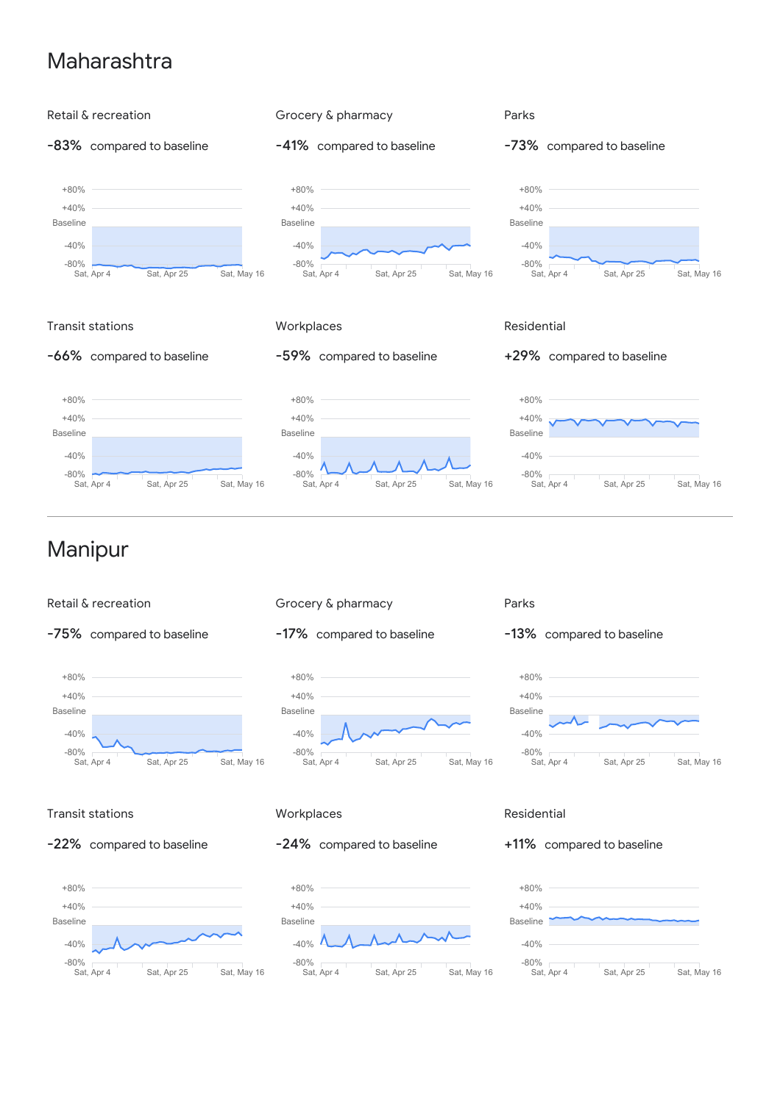### Maharashtra

![](_page_12_Figure_1.jpeg)

-75% compared to baseline

![](_page_12_Figure_3.jpeg)

-17% compared to baseline

![](_page_12_Figure_5.jpeg)

-13% compared to baseline

![](_page_12_Figure_7.jpeg)

### Transit stations

![](_page_12_Figure_9.jpeg)

![](_page_12_Figure_10.jpeg)

#### **Workplaces**

### -24% compared to baseline

![](_page_12_Figure_13.jpeg)

### Residential

### +11% compared to baseline

![](_page_12_Figure_16.jpeg)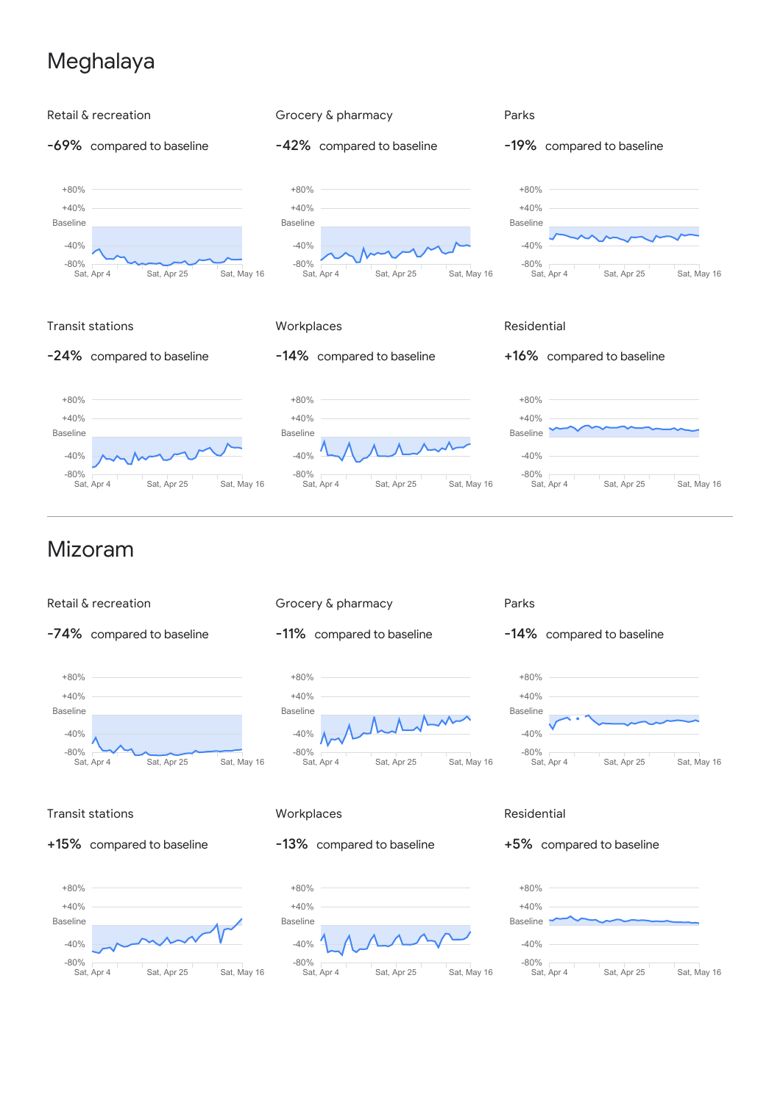# Meghalaya

![](_page_13_Figure_1.jpeg)

![](_page_13_Figure_2.jpeg)

![](_page_13_Figure_3.jpeg)

![](_page_13_Figure_4.jpeg)

![](_page_13_Figure_5.jpeg)

![](_page_13_Figure_6.jpeg)

#### Parks

![](_page_13_Figure_8.jpeg)

![](_page_13_Figure_9.jpeg)

### Transit stations

+15% compared to baseline

![](_page_13_Figure_12.jpeg)

### **Workplaces**

### -13% compared to baseline

![](_page_13_Figure_15.jpeg)

### Residential

#### +5% compared to baseline

![](_page_13_Figure_18.jpeg)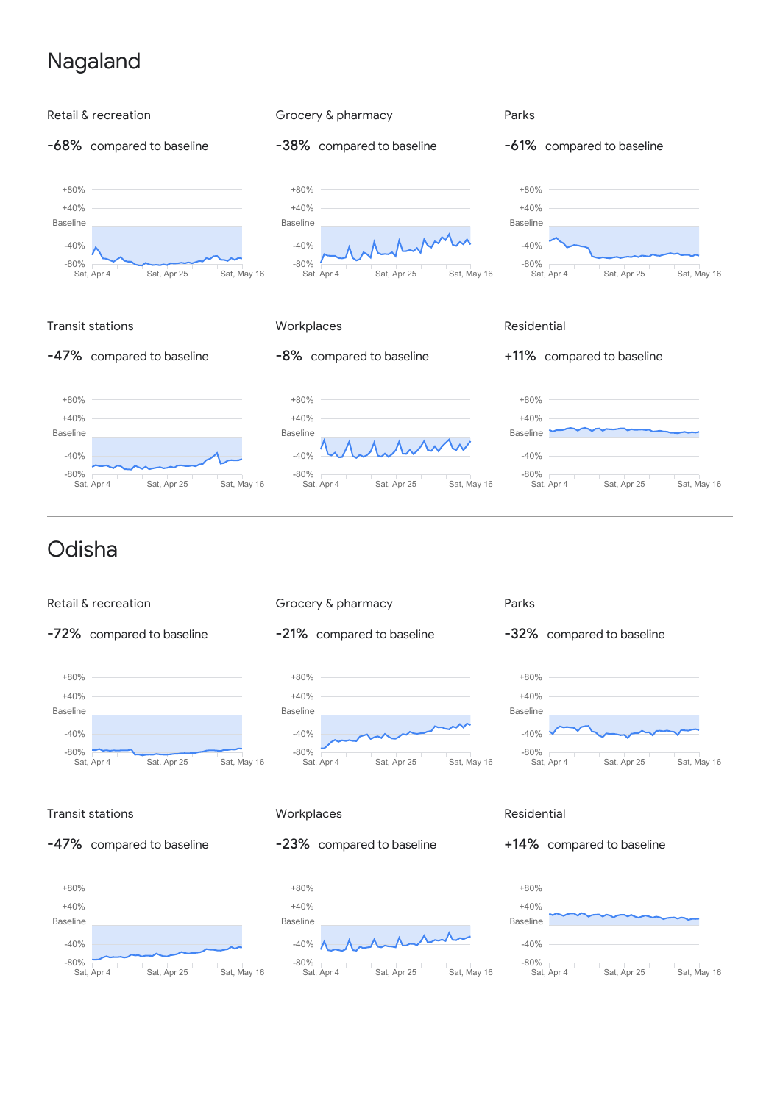# Nagaland

![](_page_14_Figure_1.jpeg)

![](_page_14_Figure_2.jpeg)

![](_page_14_Figure_3.jpeg)

![](_page_14_Figure_4.jpeg)

![](_page_14_Figure_5.jpeg)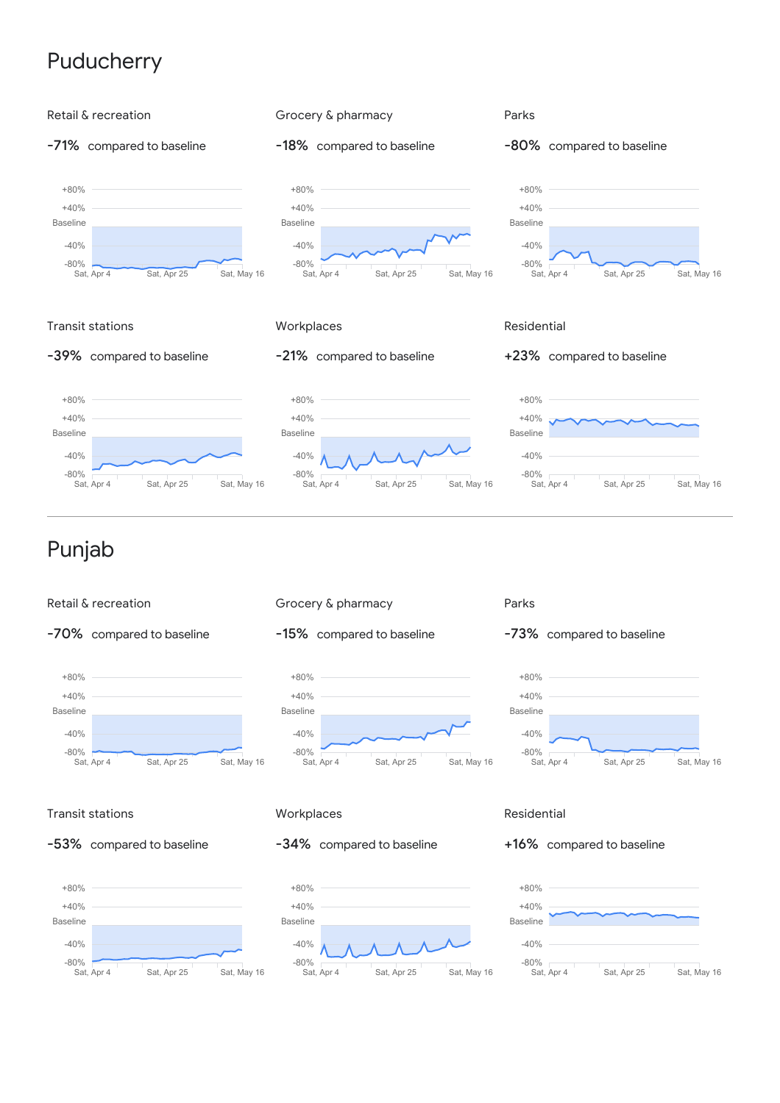# **Puducherry**

![](_page_15_Figure_1.jpeg)

![](_page_15_Figure_2.jpeg)

![](_page_15_Figure_3.jpeg)

![](_page_15_Figure_4.jpeg)

![](_page_15_Figure_5.jpeg)

![](_page_15_Figure_6.jpeg)

### Transit stations

![](_page_15_Figure_8.jpeg)

![](_page_15_Figure_9.jpeg)

### **Workplaces**

### -34% compared to baseline

![](_page_15_Figure_12.jpeg)

### Residential

#### +16% compared to baseline

![](_page_15_Figure_15.jpeg)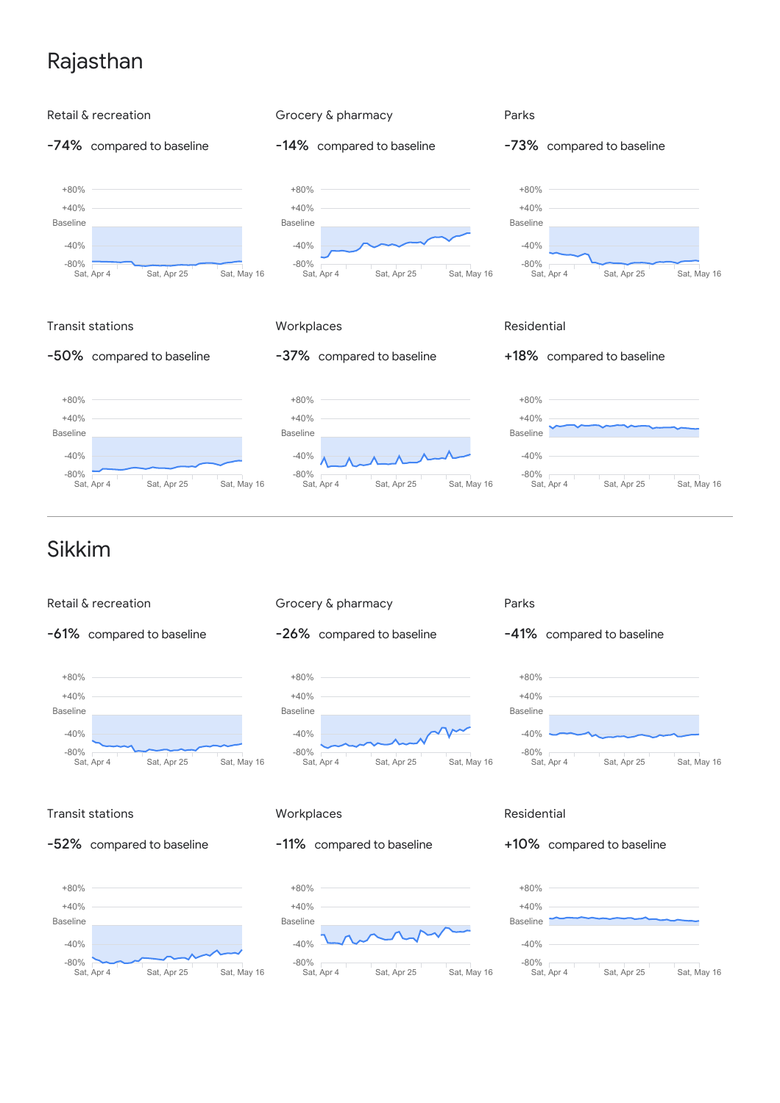# Rajasthan

![](_page_16_Figure_1.jpeg)

![](_page_16_Figure_2.jpeg)

Sat, Apr 4 Sat, Apr 25 Sat, May 16 -80%

-40%

Baseline

![](_page_16_Figure_4.jpeg)

![](_page_16_Figure_5.jpeg)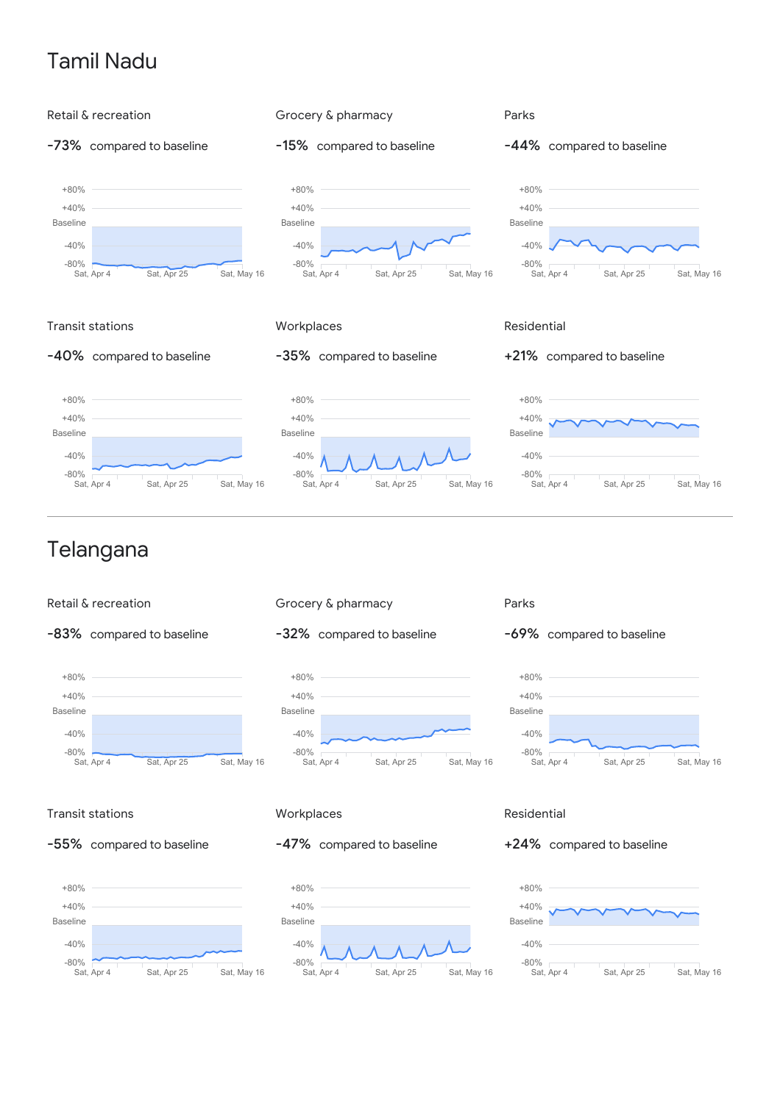# Tamil Nadu

![](_page_17_Figure_1.jpeg)

![](_page_17_Figure_2.jpeg)

-32% compared to baseline

![](_page_17_Figure_4.jpeg)

![](_page_17_Figure_5.jpeg)

![](_page_17_Figure_6.jpeg)

### Transit stations

![](_page_17_Figure_8.jpeg)

![](_page_17_Figure_9.jpeg)

### **Workplaces**

### -47% compared to baseline

![](_page_17_Figure_12.jpeg)

### Residential

#### +24% compared to baseline

![](_page_17_Figure_15.jpeg)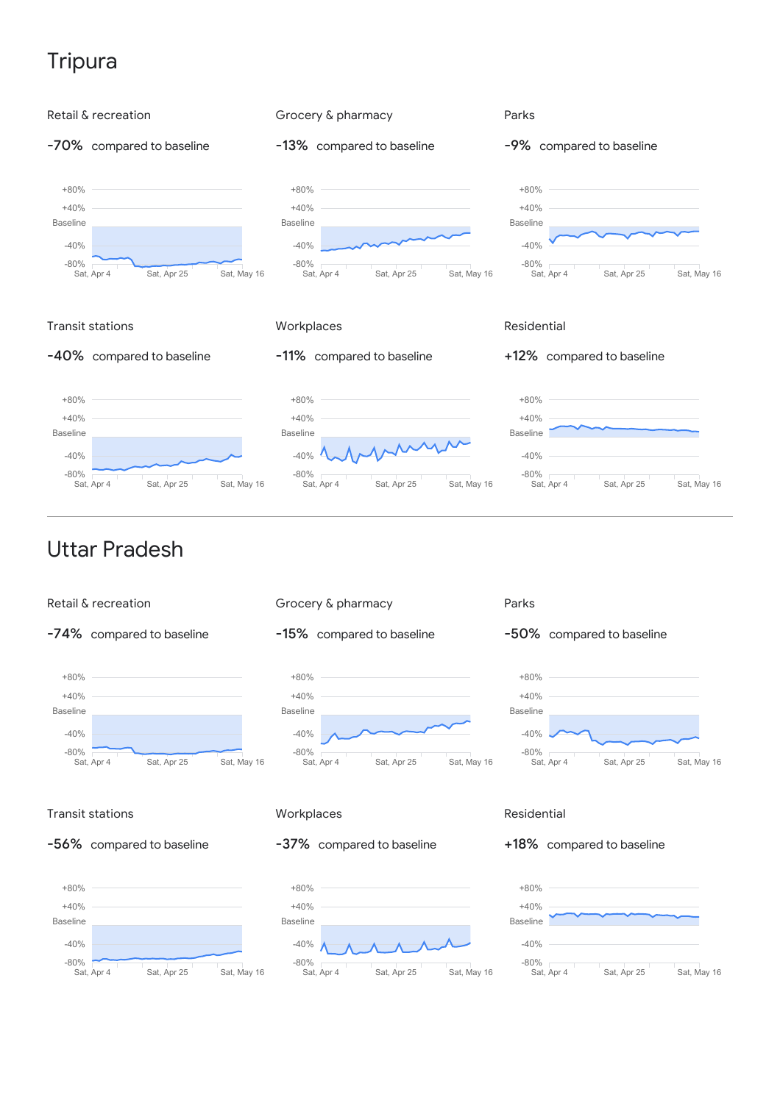# **Tripura**

![](_page_18_Figure_1.jpeg)

![](_page_18_Figure_2.jpeg)

![](_page_18_Figure_3.jpeg)

![](_page_18_Figure_4.jpeg)

![](_page_18_Figure_5.jpeg)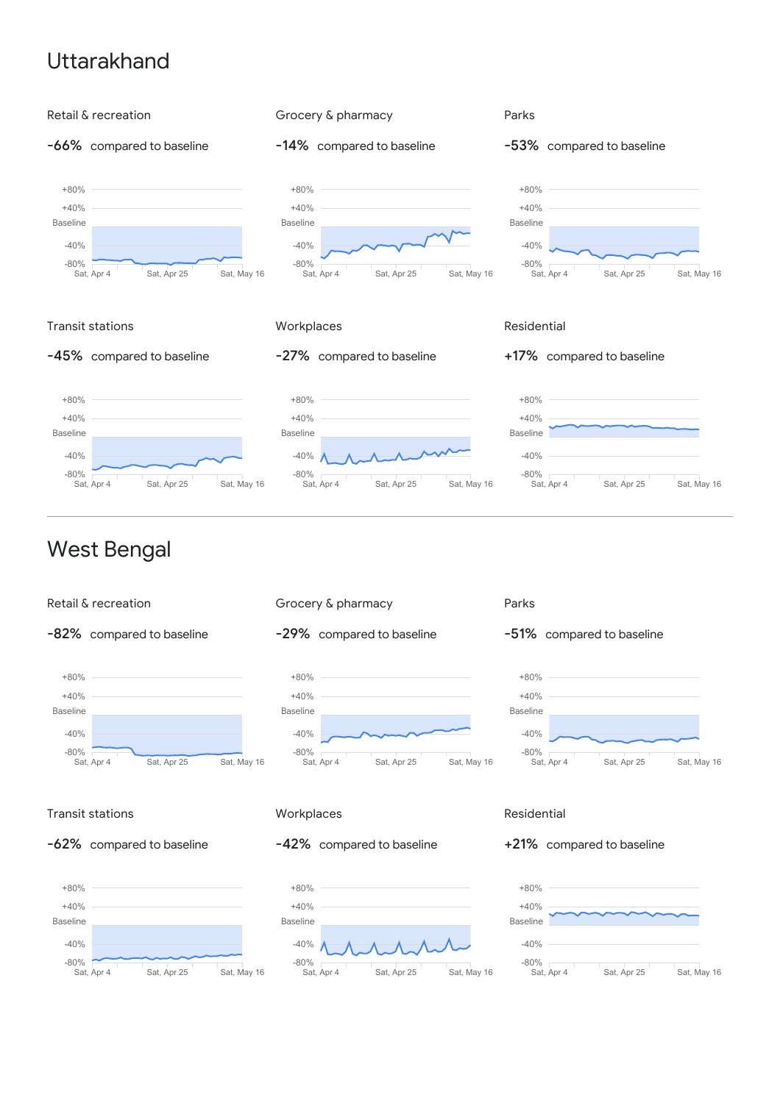## Uttarakhand

![](_page_19_Figure_1.jpeg)

![](_page_19_Figure_2.jpeg)

![](_page_19_Figure_3.jpeg)

![](_page_19_Figure_4.jpeg)

![](_page_19_Figure_5.jpeg)

### Transit stations

![](_page_19_Figure_7.jpeg)

![](_page_19_Figure_8.jpeg)

### **Workplaces**

### -42% compared to baseline

![](_page_19_Figure_11.jpeg)

### Residential

### +21% compared to baseline

![](_page_19_Figure_14.jpeg)